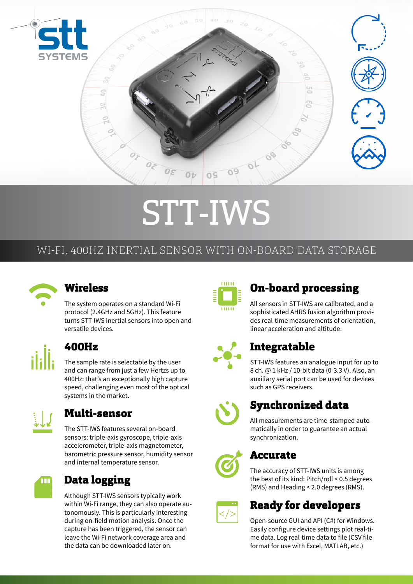

# STT-IWS

# WI-FI, 400HZ INERTIAL SENSOR WITH ON-BOARD DATA STORAGE



### **Wireless**

The system operates on a standard Wi-Fi protocol (2.4GHz and 5GHz). This feature turns STT-IWS inertial sensors into open and versatile devices.



# 400Hz

The sample rate is selectable by the user and can range from just a few Hertzs up to 400Hz: that's an exceptionally high capture speed, challenging even most of the optical systems in the market.



# Multi-sensor

The STT-IWS features several on-board sensors: triple-axis gyroscope, triple-axis accelerometer, triple-axis magnetometer, barometric pressure sensor, humidity sensor and internal temperature sensor.



# Data logging

Although STT-IWS sensors typically work within Wi-Fi range, they can also operate autonomously. This is particularly interesting during on-field motion analysis. Once the capture has been triggered, the sensor can leave the Wi-Fi network coverage area and the data can be downloaded later on.



# On-board processing

All sensors in STT-IWS are calibrated, and a sophisticated AHRS fusion algorithm provides real-time measurements of orientation, linear acceleration and altitude.



# Integratable

STT-IWS features an analogue input for up to 8 ch. @ 1 kHz / 10-bit data (0-3.3 V). Also, an auxiliary serial port can be used for devices such as GPS receivers.



# Synchronized data

All measurements are time-stamped automatically in order to guarantee an actual synchronization.



# Accurate

The accuracy of STT-IWS units is among the best of its kind: Pitch/roll < 0.5 degrees (RMS) and Heading < 2.0 degrees (RMS).



# Ready for developers

Open-source GUI and API (C#) for Windows. Easily configure device settings plot real-time data. Log real-time data to file (CSV file format for use with Excel, MATLAB, etc.)